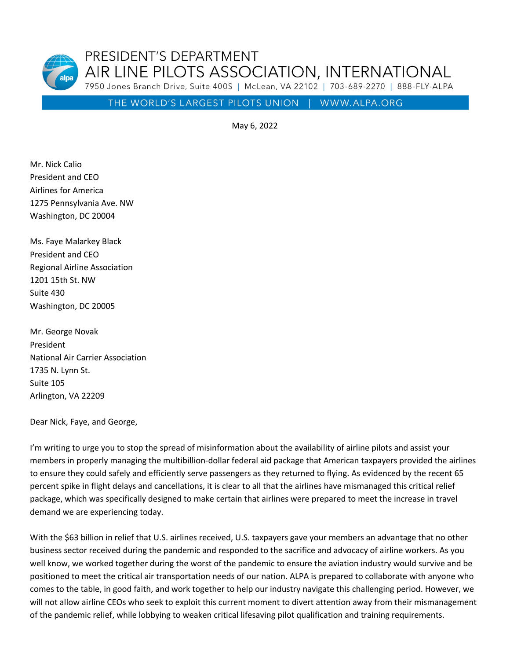PRESIDENT'S DEPARTMENT AIR LINE PILOTS ASSOCIATION, INTERNATIONAL 7950 Jones Branch Drive, Suite 400S | McLean, VA 22102 | 703-689-2270 | 888-FLY-ALPA

THE WORLD'S LARGEST PILOTS UNION | WWW.ALPA.ORG

May 6, 2022

Mr. Nick Calio President and CEO Airlines for America 1275 Pennsylvania Ave. NW Washington, DC 20004

Ms. Faye Malarkey Black President and CEO Regional Airline Association 1201 15th St. NW Suite 430 Washington, DC 20005

Mr. George Novak President National Air Carrier Association 1735 N. Lynn St. Suite 105 Arlington, VA 22209

Dear Nick, Faye, and George,

I'm writing to urge you to stop the spread of misinformation about the availability of airline pilots and assist your members in properly managing the multibillion-dollar federal aid package that American taxpayers provided the airlines to ensure they could safely and efficiently serve passengers as they returned to flying. As evidenced by the recent 65 percent spike in flight delays and cancellations, it is clear to all that the airlines have mismanaged this critical relief package, which was specifically designed to make certain that airlines were prepared to meet the increase in travel demand we are experiencing today.

With the \$63 billion in relief that U.S. airlines received, U.S. taxpayers gave your members an advantage that no other business sector received during the pandemic and responded to the sacrifice and advocacy of airline workers. As you well know, we worked together during the worst of the pandemic to ensure the aviation industry would survive and be positioned to meet the critical air transportation needs of our nation. ALPA is prepared to collaborate with anyone who comes to the table, in good faith, and work together to help our industry navigate this challenging period. However, we will not allow airline CEOs who seek to exploit this current moment to divert attention away from their mismanagement of the pandemic relief, while lobbying to weaken critical lifesaving pilot qualification and training requirements.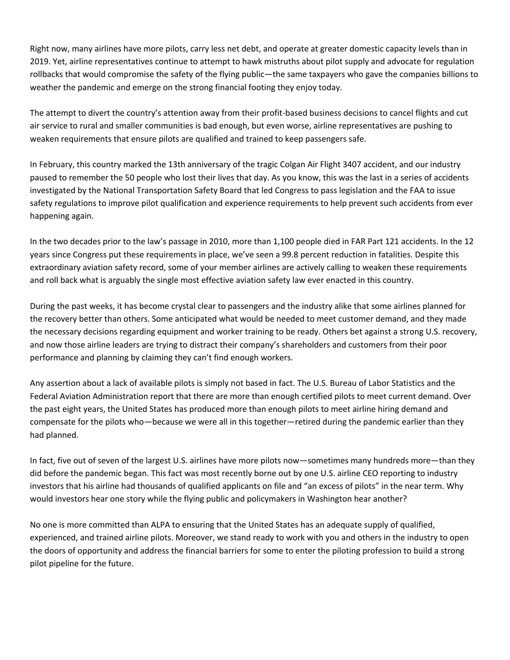Right now, many airlines have more pilots, carry less net debt, and operate at greater domestic capacity levels than in 2019. Yet, airline representatives continue to attempt to hawk mistruths about pilot supply and advocate for regulation rollbacks that would compromise the safety of the flying public—the same taxpayers who gave the companies billions to weather the pandemic and emerge on the strong financial footing they enjoy today.

The attempt to divert the country's attention away from their profit-based business decisions to cancel flights and cut air service to rural and smaller communities is bad enough, but even worse, airline representatives are pushing to weaken requirements that ensure pilots are qualified and trained to keep passengers safe.

In February, this country marked the 13th anniversary of the tragic Colgan Air Flight 3407 accident, and our industry paused to remember the 50 people who lost their lives that day. As you know, this was the last in a series of accidents investigated by the National Transportation Safety Board that led Congress to pass legislation and the FAA to issue safety regulations to improve pilot qualification and experience requirements to help prevent such accidents from ever happening again.

In the two decades prior to the law's passage in 2010, more than 1,100 people died in FAR Part 121 accidents. In the 12 years since Congress put these requirements in place, we've seen a 99.8 percent reduction in fatalities. Despite this extraordinary aviation safety record, some of your member airlines are actively calling to weaken these requirements and roll back what is arguably the single most effective aviation safety law ever enacted in this country.

During the past weeks, it has become crystal clear to passengers and the industry alike that some airlines planned for the recovery better than others. Some anticipated what would be needed to meet customer demand, and they made the necessary decisions regarding equipment and worker training to be ready. Others bet against a strong U.S. recovery, and now those airline leaders are trying to distract their company's shareholders and customers from their poor performance and planning by claiming they can't find enough workers.

Any assertion about a lack of available pilots is simply not based in fact. The U.S. Bureau of Labor Statistics and the Federal Aviation Administration report that there are more than enough certified pilots to meet current demand. Over the past eight years, the United States has produced more than enough pilots to meet airline hiring demand and compensate for the pilots who—because we were all in this together—retired during the pandemic earlier than they had planned.

In fact, five out of seven of the largest U.S. airlines have more pilots now—sometimes many hundreds more—than they did before the pandemic began. This fact was most recently borne out by one U.S. airline CEO reporting to industry investors that his airline had thousands of qualified applicants on file and "an excess of pilots" in the near term. Why would investors hear one story while the flying public and policymakers in Washington hear another?

No one is more committed than ALPA to ensuring that the United States has an adequate supply of qualified, experienced, and trained airline pilots. Moreover, we stand ready to work with you and others in the industry to open the doors of opportunity and address the financial barriers for some to enter the piloting profession to build a strong pilot pipeline for the future.